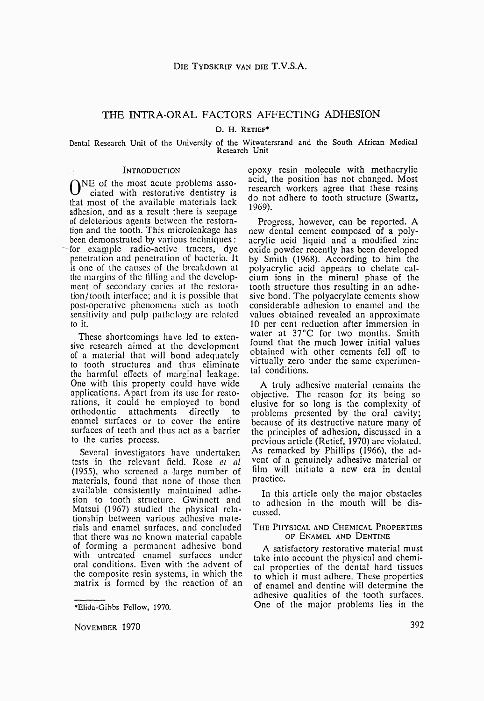# THE INTRA-ORAL FACTORS AFFECTING ADHESION

D. H. Retief\*

## Dental Research Unit of the University of the Witwatersrand and the South African Medical Research Unit

#### Introduction

ONE of the most acute problems asso-<br>ciated with restorative dentistry is ciated with restorative dentistry is that most of the available materials lack adhesion, and as a result there is seepage of deleterious agents between the restoration and the tooth. This microleakagc has been demonstrated by various techniques: for example radio-active tracers, dye penetration and penetration of bacteria. It is one of the causes of the breakdown at the margins of the filling and the development of secondary caries at the restoration/ tooth interface; and it is possible that post-operative phenomena such, as tooth sensitivity and pulp pathology arc related to it.

These shortcomings have led to extensive research aimed at the development of a material that will bond adequately to tooth structures and thus eliminate the harmful effects of marginal leakage. One with this property could have wide applications. Apart from its use for restorations, it could be employed to bond<br>orthodontic attachments directly to attachments directly to enamel surfaces or to cover the entire surfaces of teeth and thus act as a barrier to the caries process.

Several investigators have undertaken tests in the relevant field. Rose *et al* (1955), who screened a large number of materials, found that none of those then available consistently maintained adhesion to tooth structure. Gwinnett and Matsui (1967) studied the physical relationship between various adhesive materials and enamel surfaces, and concluded that there was no known material capable of forming a permanent adhesive bond with untreated enamel surfaces under oral conditions. Even with the advent of the composite resin systems, in which the matrix is formed by the reaction of an

November 1970 392

epoxy resin molecule with methacrylic acid, the position has not changed. Most research workers agree that these resins do not adhere to tooth structure (Swartz, 1969).

Progress, however, can be reported. A new dental cement composed of a polyacrylic acid liquid and a modified zinc oxide powder recently has been developed by Smith (1968). According to him the polyacrylic acid appears to chelate calcium ions in the mineral phase of the tooth structure thus resulting in an adhesive bond. The polyacrylate cements show considerable adhesion to enamel and the values obtained revealed an approximate 10 per cent reduction after immersion in water at 37°C for two months. Smith found that the much lower initial values obtained with other cements fell off to virtually zero under the same experimental conditions.

A truly adhesive material remains the objective. The reason for its being so elusive for so long is the complexity of problems presented by the oral cavity; because of its destructive nature many of the principles of adhesion, discussed in a previous article (Retief, 1970) are violated. As remarked by Phillips (1966), the advent of a genuinely adhesive material or film will initiate a new era in dental practice.

In this article only the major obstacles to adhesion in the mouth will be discussed.

## THE PHYSICAL AND CHEMICAL PROPERTIES OF ENAMEL AND DENTINE

A satisfactory restorative material must take into account the physical and chemical properties of the dental hard tissues to which it must adhere. These properties of enamel and dentine will determine the adhesive qualities of the tooth surfaces. One of the major problems lies in the

<sup>\*</sup>Elida-Gibbs Fellow, 1970.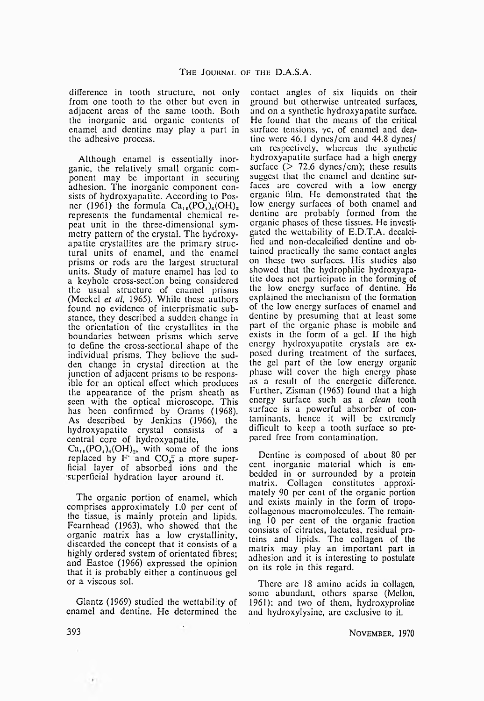difference in tooth structure, not only from one tooth to the other but even in adjacent areas of the same tooth. Both the inorganic and organic contents of enamel and dentine may play a part in the adhesive process.

Although enamel is essentially inorganic, the relatively small organic component may be important in securing adhesion. The inorganic component consists of hydroxyapatite. According to Posner (1961) the formula  $Ca_{10}(PO_4)_6(OH)_2$ represents the fundamental chemical repeat unit in the three-dimensional symmetry pattern of the crystal. The hydroxyapatite crystallites are the primary structural units of enamel, and the enamel prisms or rods are the largest structural units. Study of mature enamel has led to a keyhole cross-section being considered the usual structure of enamel prisms (Meckel *et al,* 1965). While these authors found no evidence of intcrprismatic substance, they described a sudden change in the orientation of the crystallites in the boundaries between prisms which serve to define the cross-sectional shape of the individual prisms. They believe the sudden change in crystal direction at the junction of adjacent prisms to be responsible for an optical effect which produces the appearance of the prism sheath as seen with the optical microscope. This has been confirmed by Orams (1968). As described by Jenkins (1966), the hydroxyapatite crystal consists of a central core of hydroxyapatite,

 $Ca_{10}(PO_4)_{6}(OH)_2$ , with some of the ions replaced by F and  $CO<sub>a</sub>$ , a more superficial layer of absorbed ions and the superficial hydration layer around it.

The organic portion of enamel, which comprises approximately 1.0 per cent of the tissue, is mainly protein and lipids. Fcarnhead (1963), who showed that the organic matrix has a low crystallinity, discarded the concept that it consists of a highly ordered system of orientated fibres; and Eastoe (1966) expressed the opinion that it is probably cither a continuous gel or a viscous sol.

Glantz (1969) studied the wettability of enamel and dentine. He determined the

contact angles of six liquids on their ground but otherwise untreated surfaces, and on a synthetic hydroxyapatite surface. He found that the means of the critical surface tensions,  $\gamma c$ , of enamel and dentine were 46.1 dynes/cm and 44.8 dynes/ cm respectively, whereas the synthetic hydroxyapatite surface had a high energy surface ( $> 72.6$  dynes/cm); these results suggest that the enamel and dentine surfaces arc covered with a low energy organic film. He demonstrated that the low energy surfaces of both enamel and dentine arc probably formed from the organic phases of these tissues. He investigated the wettability of E.D.T.A. decalcified and non-dccalcificd dentine and obtained practically the same contact angles on these two surfaces. His studies also showed that the hydrophilic hydroxyapatite docs not participate in the forming of the low energy surface of dentine. He explained the mechanism of the formation of the low energy surfaces of enamel and dentine by presuming that at least some part of the organic phase is mobile and exists in the form of a gel. If the high energy hydroxyapatite crystals are exposed during treatment of the surfaces, the gel part of the low energy organic phase will cover the high energy phase as a result of the energetic difference. Further, Zisman (1965) found that a high energy surface such as a *clean* tooth surface is a powerful absorber of contaminants, hence it will be extremely difficult to keep a tooth surface so prepared free from contamination.

Dentine is composed of about 80 per cent inorganic material which is embedded in or surrounded by a protein matrix. Collagen constitutes approximately 90 per cent of the organic portion and exists mainly in the form of tropocoliagcnous macromolcculcs. The remaining 10 per cent of the organic fraction consists of citrates, lactates, residual proteins and lipids. The collagen of the matrix may play an important part in adhesion and it is interesting to postulate on its role in this regard.

There arc 18 amino acids in collagen, some abundant, others sparse (Mellon, 1961); and two of them, hydroxyproline and hydroxylysinc, arc exclusive to it.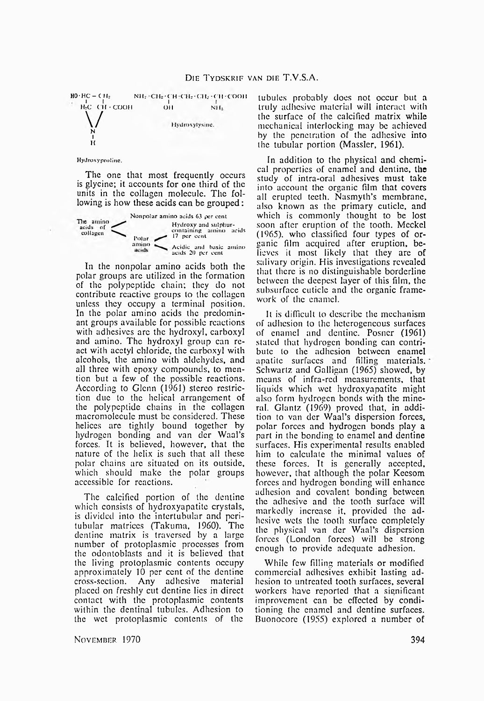

#### HyJroxyprolinc.

The one that most frequently occurs is glycine; it accounts for one third of the units in the collagen molecule. The following is how these acids can be grouped:



In the nonpolar amino acids both the polar groups are utilized in the formation of the polypeptide chain; they do not contribute reactive groups to the collagen unless they occupy a terminal position. In the polar amino acids the predominant groups available for possible reactions with adhesives arc the hydroxyl, carboxyl and amino. The hydroxyl group can react with acetyl chloride, the carboxyl with alcohols, the amino with aldehydes, and all three with epoxy compounds, to mention but a few of the possible reactions. According to Glenn (1961) stereo restriction due to the helical arrangement of the polypeptide chains in the collagen macromoleculc must be considered. These helices arc tightly bound together by hydrogen bonding and van dcr Waal's forces. It is believed, however, that the nature of the helix is such that all these polar chains arc situated on its outside, which should make the polar groups accessible for reactions.

The calcified portion of the dentine which consists of hydroxyapatite crystals, is divided into the intertubular and peritubular matrices (Takuma, 1960). The dentine matrix is traversed by a large number of protoplasmic processes from the odontoblasts and it is believed that the living protoplasmic contents occupy approximately 10 per cent of the dentine cross-section. Any adhesive material placed on freshly cut dentine lies in direct contact with the protoplasmic contents within the dentinal tubules. Adhesion to the wet protoplasmic contents of the

tubules probably docs not occur but a truly adhesive material will interact with the surface of the calcified matrix while mechanical interlocking may be achieved by the penetration of the adhesive into the tubular portion (Massler, 1961).

In addition to the physical and chemical properties of enamel and dentine, the study of intra-oral adhesives must take into account the organic film that covers all erupted teeth. Nasmyth's membrane, also known as the primary cuticle, and which is commonly thought to be lost soon after eruption of the tooth. Meckel (1965). who classified four types of organic film acquired after eruption, believes it most likely that they arc of salivary origin. His investigations revealed that there is no distinguishable borderline between the deepest layer of this film, the subsurface cuticle and the organic framework of the enamel.

It is difficult to describe the mechanism of adhesion to the heterogeneous surfaces of enamel and dentine. Posner (1961) stated that hydrogen bonding can contribute to the adhesion between enamel apatite surfaces and filling materials. Schwartz and Galligan (1965) showed, by means of infra-red measurements, that liquids which wet hydroxyapatite might also form hydrogen bonds with the mineral. Glantz (1969) proved that, in addition to van der Waal's dispersion forces, polar forces and hydrogen bonds play a part in the bonding to enamel and dentine surfaces. His experimental results enabled him to calculate the minimal values of these forces. Tt is generally accepted, however, that although the polar Kecsom forces and hydrogen bonding will enhance adhesion and covalent bonding between the adhesive and the tooth surface will markedly increase it, provided the adhesive wets the tooth surface completely the physical van der Waal's dispersion forces (London forces) will be strong enough to provide adequate adhesion.

While few filling materials or modified commercial adhesives exhibit lasting adhesion to untreated tooth surfaces, several workers have reported that a significant improvement can be effected by conditioning the enamel and dentine surfaces. Buonocorc (1955) explored a number of

November 1970 394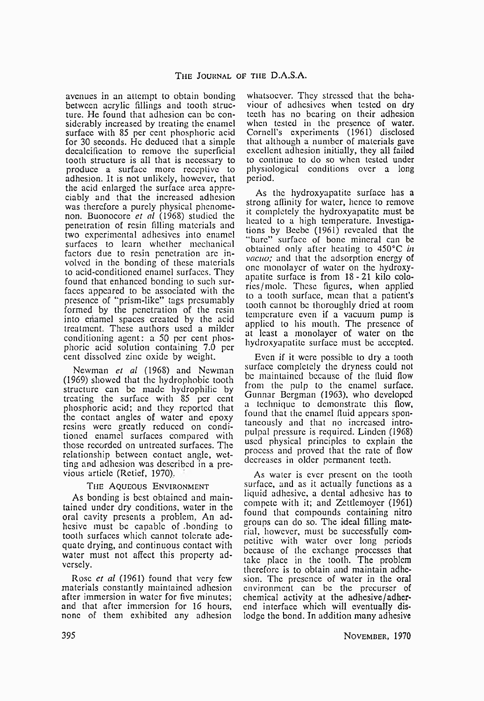avenues in an attempt to obtain bonding between acrylic fillings and tooth structure. He found that adhesion can be considerably increased by treating the enamel surface with 85 per cent phosphoric acid for 30 seconds. He deduced that a simple dccalcification to remove the superficial tooth structure is all that is necessary to produce a surface more receptive to adhesion. It is not unlikely, however, that the acid enlarged the surface area appreciably and that the increased adhesion was therefore a purely physical phenomenon. Buonocore *ct al* (1968) studied the penetration of resin filling materials and two experimental adhesives into enamel surfaces to learn whether mechanical factors due to resin penetration arc involved in the bonding of these materials to acid-conditioned enamel surfaces. They found that enhanced bonding to such surfaces appeared to be associated with the presence of "prism-like" tags presumably formed by the penetration of the resin into enamel spaces created by the acid treatment. These authors used a milder conditioning agent: a 50 per cent phosphoric acid solution containing 7.0 per cent dissolved zinc oxide by weight.

Newman *et al* (1968) and Newman (1969) showed that the hydrophobic tooth structure can be made hydrophilic by treating the surface with 85 per cent phosphoric acid; and they reported that the contact angles of water and epoxy resins were greatly reduced on conditioned enamel surfaces compared with those recorded on untreated surfaces. The relationship between contact angle, wetting and adhesion was described in a previous article (Rctief, 1970),.

# The Aqueous Environment

As bonding is best obtained and maintained under dry conditions, water in the oral cavity presents a problem, An adhesive must be capable of .bonding to tooth surfaces which cannot tolerate adequate drying, and continuous contact with water must not affect this property adversely.

Rose *et al* (1961) found that very few materials constantly maintained adhesion after immersion in water for five minutes; and that after immersion for 16 hours, none of them exhibited any adhesion

whatsoever. They stressed that the behaviour of adhesives when tested on dry teeth has no bearing on their adhesion when tested in the presence of water. Cornell's experiments (1961) disclosed that although a number of materials gave excellent adhesion initially, they all failed to continue to do so when tested under physiological conditions over a long period.

As the hydroxyapatite surface has a strong affinity for water, hence to remove it completely the hydroxyapatite must be heated to a high temperature. Investigations by Beebe (1961) revealed that the "bare" surface of bone mineral can be obtained only after heating to 450°C *in vacuo;* and that the adsorption energy of one monolayer of water on the hydroxyapatite surface is from 18-21 kilo colorics/molc. These figures, when applied to a tooth surface, mean that a patient's tooth cannot be thoroughly dried at room temperature even if a vacuum pump is applied to his mouth. The presence of at least a monolayer of water on the hydroxyapatite surface must be accepted.

Even if it were possible to dry a tooth surface completely the dryness could not be maintained because of the fluid flow from the pulp to the enamel surface. Gunnar Bergman (1963), who developed a technique to demonstrate this flow, found that the enamel fluid appears spontaneously and that no increased intropulpal pressure is required. Linden (1968) used physical principles to explain the process and proved that the rate of flow decreases in older permanent teeth.

As water is ever present on the tooth surface, and as it actually functions as a liquid adhesive, a dental adhesive has to compete with it; and Zettlemoyer (1961) found that compounds containing nitro groups can do so. The ideal filling material, however, must be successfully competitive with water over long periods because of the exchange processes that take place in the tooth. The problem therefore is to obtain and maintain adhesion. The presence of water in the oral environment can be the precurser of chemical activity at the adhesive/adherend interface which will eventually dislodge the bond. In addition many adhesive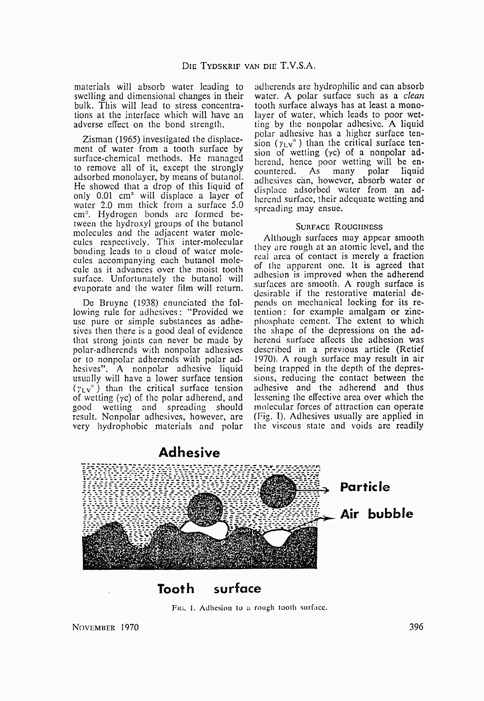materials will absorb water leading to swelling and dimensional changes in their bulk. This will lead to stress concentrations at the interface which will have an adverse effect on the bond strength.

Zisman (1965) investigated the displacement of water from a tooth surface by surface-chemical methods. He managed to remove all of it, except the strongly adsorbed monolayer, by means of butanol. He showed that a drop of this liquid of only 0.01 cm3 will displace a layer of water 2.0 mm thick from a surface 5.0 cm<sup>2</sup>. Hydrogen bonds are formed between the hydroxyl groups of the butanol molecules and the adjacent water molecules respectively. This inter-molecular bonding leads to a cloud of water molecules accompanying each butanol molecule as it advances over the moist tooth surface. Unfortunately the butanol will evaporate and the water film will return.

De Bruyne (1938) enunciated the following rule for adhesives: "Provided we use pure or simple substances as adhesives then there is a good deal of evidence that strong joints can never be made by polar-adherends with nonpolar adhesives or to nonpolar adherends with polar adhesives". A nonpolar adhesive liquid usually will have a lower surface tension  $(\gamma_L v^{\circ})$  than the critical surface tension of wetting  $(\gamma c)$  of the polar adherend, and good wetting and spreading should result. Nonpolar adhesives, however, are very hydrophobic materials and polar

adherends are hydrophilic and can absorb water. A polar surface such as a *clean* tooth surface always has at least a monolayer of water, which leads to poor wetting by the nonpolar adhesive. A liquid polar adhesive has a higher surface tension ( $y_Ly^{\circ}$ ) than the critical surface tension of wetting  $(yc)$  of a nonpolar adherend, hence poor wetting will be en-<br>countered. As many polar liquid countered. As many polar liquid adhesives can, however, absorb water or displace adsorbed water from an adherend surface, their adequate wetting and spreading may ensue.

## SURFACE ROUGHNESS

Although surfaces may appear smooth they arc rough at an atomic level, and the real area of contact is merely a fraction of the apparent one. It is agreed that adhesion is improved when the adherend surfaces arc smooth. A rough surface is desirable if the restorative material depends on mechanical locking for its retention : for example amalgam or zincphosphate cement. The extent to which the shape of the depressions on the adherend surface affects the adhesion was described in a previous article (Retief 1970). A rough surface may result in air being trapped in the depth of the depressions, reducing the contact between the adhesive and the adherend and thus lessening the effective area over which the molecular forces of attraction can operate (Fig. I). Adhesives usually are applied in the viscous state and voids are readily



Fig. 1. Adhesion to a rough tooth surface.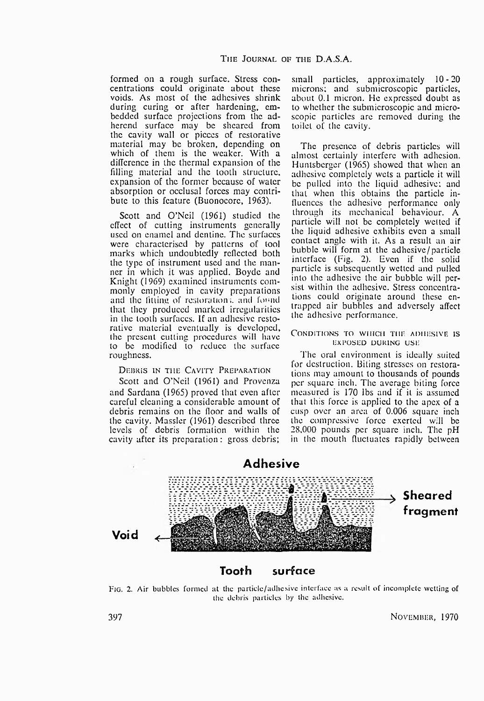formed on a rough surface. Stress concentrations could originate about these voids. As most of the adhesives shrink during curing or after hardening, embedded surface projections from the adherend surface may be sheared from the cavity wall or pieces of restorative material may be broken, depending on which of them is the weaker. With a difference in the thermal expansion of the filling material and the tooth structure, expansion of the former because of water absorption or occlusal forces may contribute to this feature (Buonocorc, 1963).

Scott and O'Neil (1961) studied the effect of cutting instruments generally used on enamel and dentine. The surfaces were characterised by patterns of tool marks which undoubtedly reflected both the type of instrument used and the manner in which it was applied. Boyde and Knight (1969) examined instruments commonly employed in cavity preparations and the fitting of restorations, and found that they produced marked irregularities in the tooth surfaces. If an adhesive restorative material eventually is developed, the present cutting procedures will have to be modified to reduce the surface roughness.

## DEBRIS IN THE CAVITY PREPARATION

Scott and O'Neil (1961) and Provenza and Sardana (1965) proved that even after careful cleaning a considerable amount of debris remains on the floor and walls of the cavity. Massler (1961) described three levels of debris formation within the cavity after its preparation: gross debris;

small particles, approximately 10-20 microns; and submicroscopic particles, about 0.1 micron. He expressed doubt as to whether the submicroscopic and microscopic particles are removed during the toilet of the cavity.

The presence of debris particles will almost certainly interfere with adhesion. Huntsberger (1965) showed that when an adhesive completely wets a particle it will be pulled into the liquid adhesive; and that when this obtains the particle influences the adhesive performance only through its mechanical behaviour. A particle will not be completely welted if the liquid adhesive exhibits even a small contact angle with it. As a result an air bubble will form at the adhesive/particle interface (Fig. 2). Even if the solid particle is subsequently wetted and pulled into the adhesive the air bubble will persist within the adhesive. Stress concentrations could originate around these entrapped air bubbles and adversely affect the adhesive performance.

### Conditions to which the adhesive is EXPOSED DURING USE

The oral environment is ideally suited for destruction. Biting stresses on restorations may amount to thousands of pounds per square inch. The average biting force measured is 170 lbs and if it is assumed that this force is applied to the apex of a cusp over an area of 0.006 square inch the compressive force exerted will be 28,000 pounds per square inch. The pH in the mouth fluctuates rapidly between



Fig. 2. Air bubbles formed at the particlc/adhcsive interface as a result of incomplete wetting of the debris particles by the adhesive.

397 November, 1970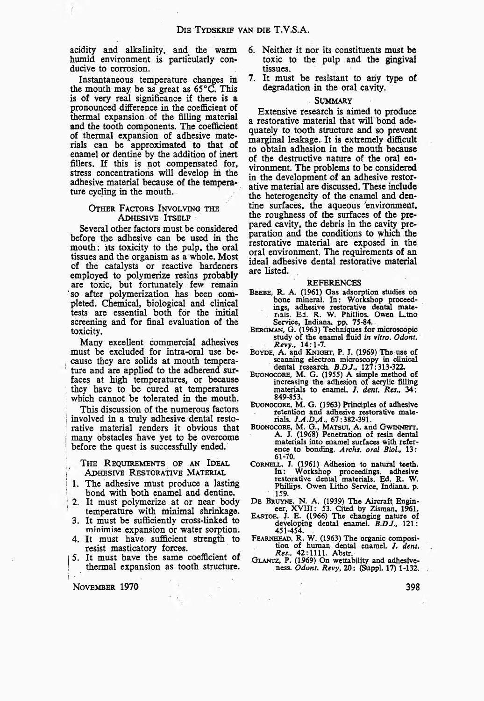**acidity and alkalinity, and the warm humid environment is particularly conducive to corrosion.**

**Instantaneous temperature changes in the mouth may be as great as 65 °C. This is of very real significance if there is a pronounced difference in the coefficient of thermal expansion of the filling material and the tooth components. The coefficient of thermal expansion of adhesive materials can be approximated to that of enamel or dentine by the addition of inert fillers. If this is not compensated for, stress concentrations will develop in the adhesive material because of the temperature cycling in the mouth.**

### OTHER FACTORS INVOLVING THE ADHESIVE ITSELF

**Several other factors must be considered before the adhesive can be used in the mouth: its toxicity to the pulp, the oral tissues and the organism as a whole. Most of the catalysts or reactive hardeners employed to polymerize resins probably are toxic, but fortunately few remain 'so after polymerization has been completed. Chemical, biological and clinical tests are essential both for the initial screening and for final evaluation of the toxicity.**

**Many excellent commercial adhesives must be excluded for intra-oral use bei cause they are solids at mouth temperature and are applied to the adherend surfaces at high temperatures, or because . they have to be cured at temperatures which cannot be tolerated in the mouth.**

**This discussion of the numerous factors** involved in a truly adhesive dental resto-**I rative material renders it obvious that | many obstacles have yet to be overcome | before the quest is successfully ended.**

The Requirements of an Ideal ADHESIVE RESTORATIVE MATERIAL

- 1. The adhesive must produce a lasting **bond with both enamel and dentine.**
- **; 2. It must polymerize at or near body temperature with minimal shrinkage.**
- **3. It must be sufficiently cross-linked to minimise expansion or water sorption.**
- **4. It must have sufficient strength to resist masticatory forces.**
- **j 5. It must have the same coefficient of ! thermal expansion as tooth structure,**

 $\sim$ 

i ■ . . November **1970**

- **6. Neither it nor its constituents must be toxic to the pulp and the gingival tissues.**
- **7. It must be resistant to any type of degradation in the oral cavity.**

#### Summary

**Extensive research is aimed to produce a restorative material that will bond adequately to tooth structure and so prevent marginal leakage. It is extremely difficult to obtain adhesion in the mouth because of the destructive nature of the oral environment. The problems to be considered in the development of an adhesive restorative material are discussed. These include the heterogeneity of the enamel and dentine surfaces, the aqueous 'environment, the roughness of the surfaces of the prepared cavity, the debris in the cavity preparation and the conditions to which the restorative material are exposed in the oral environment. The requirements of an ideal adhesive dental restorative material are listed.**

#### REFERENCES

- BEEBE, R. A. (1961) Gas adsorption studies on bone mineral. In: Workshop proceedings, adhesive restorative dental mate-rials. Ed. R. W. Phillios. Owen L.tno
- Service, Indiana, pp. 75-84. Bergman, G. (1963) Techniques for microscopic study of the enamel fluid *in vitro. Odont. Revy"* 14:1-7.
- BOYDE, A. and KNIGHT, P. J. (1969) The use of scanning electron microscopy in clinical dental research. *B.DJ.,* 127:313-322.
- Buonocore, M. G. (1955) A simple method of increasing the adhesion of acrylic filling materials to enamel. *1. dent. Res.,* 34: 849-853.
- Buonocore, M. G. (1963) Principles of adhesive retention and adhesive restorative mate-rials. *]A .D tA.,* 67:382-391.
- BUONOCORE, M. G., MATSUI, A. and GWINNETT,<br>A. J. (1968) Penetration of resin dental materials into enamel surfaces with reference to bonding. *Archs. oral Biol.,* 13: 61-70.
- Cornell, J. (1961) Adhesion to natural teeth. In : Workshop proceedings, adhesive restorative dental materials. Ed. R. W. Phillips. Owen Litho Service, Indiana, p. 159.
- DE BRUYNE, N. A. (1939) The Aircraft Engin-<br>eer, XVIII: 53. Cited by Zisman, 1961.
- Eastoe, J. E. (1966) The changing nature of developing dental enamel. *B.DJ.,* 121: 451-454. .
- FEARNHEAD, R. W. (1963) The organic composition of human dental enamel. *J. dent.*
- Res., 42:1111. Abstr.<br>GLANTZ, P. (1969) On wettability and adhesiveness. *Odont. Revy,* 20: (Suppl. 17) 1-132.

**398**